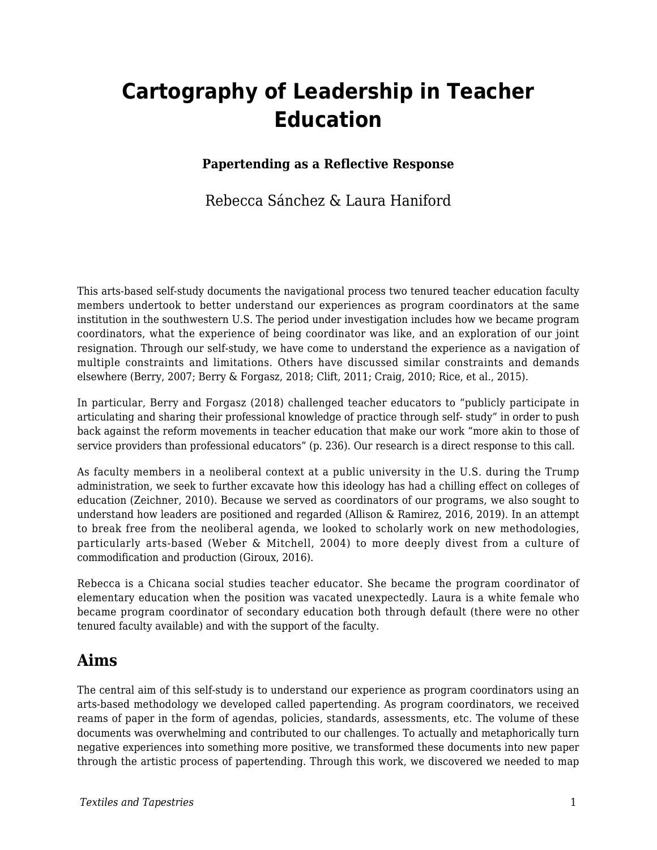# **Cartography of Leadership in Teacher Education**

#### **Papertending as a Reflective Response**

### Rebecca Sánchez & Laura Haniford

This arts-based self-study documents the navigational process two tenured teacher education faculty members undertook to better understand our experiences as program coordinators at the same institution in the southwestern U.S. The period under investigation includes how we became program coordinators, what the experience of being coordinator was like, and an exploration of our joint resignation. Through our self-study, we have come to understand the experience as a navigation of multiple constraints and limitations. Others have discussed similar constraints and demands elsewhere (Berry, 2007; Berry & Forgasz, 2018; Clift, 2011; Craig, 2010; Rice, et al., 2015).

In particular, Berry and Forgasz (2018) challenged teacher educators to "publicly participate in articulating and sharing their professional knowledge of practice through self- study" in order to push back against the reform movements in teacher education that make our work "more akin to those of service providers than professional educators" (p. 236). Our research is a direct response to this call.

As faculty members in a neoliberal context at a public university in the U.S. during the Trump administration, we seek to further excavate how this ideology has had a chilling effect on colleges of education (Zeichner, 2010). Because we served as coordinators of our programs, we also sought to understand how leaders are positioned and regarded (Allison & Ramirez, 2016, 2019). In an attempt to break free from the neoliberal agenda, we looked to scholarly work on new methodologies, particularly arts-based (Weber & Mitchell, 2004) to more deeply divest from a culture of commodification and production (Giroux, 2016).

Rebecca is a Chicana social studies teacher educator. She became the program coordinator of elementary education when the position was vacated unexpectedly. Laura is a white female who became program coordinator of secondary education both through default (there were no other tenured faculty available) and with the support of the faculty.

### **Aims**

The central aim of this self-study is to understand our experience as program coordinators using an arts-based methodology we developed called papertending. As program coordinators, we received reams of paper in the form of agendas, policies, standards, assessments, etc. The volume of these documents was overwhelming and contributed to our challenges. To actually and metaphorically turn negative experiences into something more positive, we transformed these documents into new paper through the artistic process of papertending. Through this work, we discovered we needed to map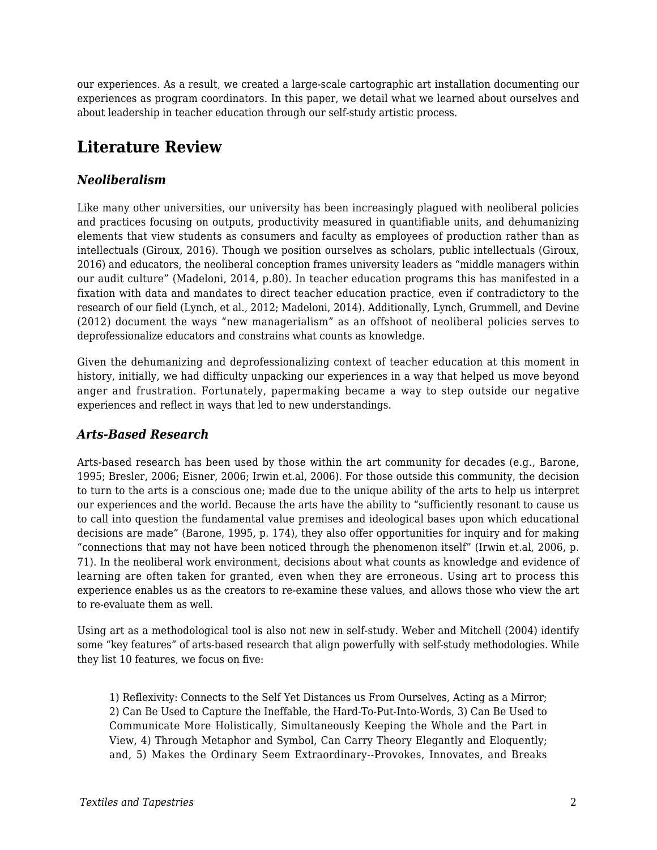our experiences. As a result, we created a large-scale cartographic art installation documenting our experiences as program coordinators. In this paper, we detail what we learned about ourselves and about leadership in teacher education through our self-study artistic process.

## **Literature Review**

#### *Neoliberalism*

Like many other universities, our university has been increasingly plagued with neoliberal policies and practices focusing on outputs, productivity measured in quantifiable units, and dehumanizing elements that view students as consumers and faculty as employees of production rather than as intellectuals (Giroux, 2016). Though we position ourselves as scholars, public intellectuals (Giroux, 2016) and educators, the neoliberal conception frames university leaders as "middle managers within our audit culture" (Madeloni, 2014, p.80). In teacher education programs this has manifested in a fixation with data and mandates to direct teacher education practice, even if contradictory to the research of our field (Lynch, et al., 2012; Madeloni, 2014). Additionally, Lynch, Grummell, and Devine (2012) document the ways "new managerialism" as an offshoot of neoliberal policies serves to deprofessionalize educators and constrains what counts as knowledge.

Given the dehumanizing and deprofessionalizing context of teacher education at this moment in history, initially, we had difficulty unpacking our experiences in a way that helped us move beyond anger and frustration. Fortunately, papermaking became a way to step outside our negative experiences and reflect in ways that led to new understandings.

#### *Arts-Based Research*

Arts-based research has been used by those within the art community for decades (e.g., Barone, 1995; Bresler, 2006; Eisner, 2006; Irwin et.al, 2006). For those outside this community, the decision to turn to the arts is a conscious one; made due to the unique ability of the arts to help us interpret our experiences and the world. Because the arts have the ability to "sufficiently resonant to cause us to call into question the fundamental value premises and ideological bases upon which educational decisions are made" (Barone, 1995, p. 174), they also offer opportunities for inquiry and for making "connections that may not have been noticed through the phenomenon itself" (Irwin et.al, 2006, p. 71). In the neoliberal work environment, decisions about what counts as knowledge and evidence of learning are often taken for granted, even when they are erroneous. Using art to process this experience enables us as the creators to re-examine these values, and allows those who view the art to re-evaluate them as well.

Using art as a methodological tool is also not new in self-study. Weber and Mitchell (2004) identify some "key features" of arts-based research that align powerfully with self-study methodologies. While they list 10 features, we focus on five:

1) Reflexivity: Connects to the Self Yet Distances us From Ourselves, Acting as a Mirror; 2) Can Be Used to Capture the Ineffable, the Hard-To-Put-Into-Words, 3) Can Be Used to Communicate More Holistically, Simultaneously Keeping the Whole and the Part in View, 4) Through Metaphor and Symbol, Can Carry Theory Elegantly and Eloquently; and, 5) Makes the Ordinary Seem Extraordinary--Provokes, Innovates, and Breaks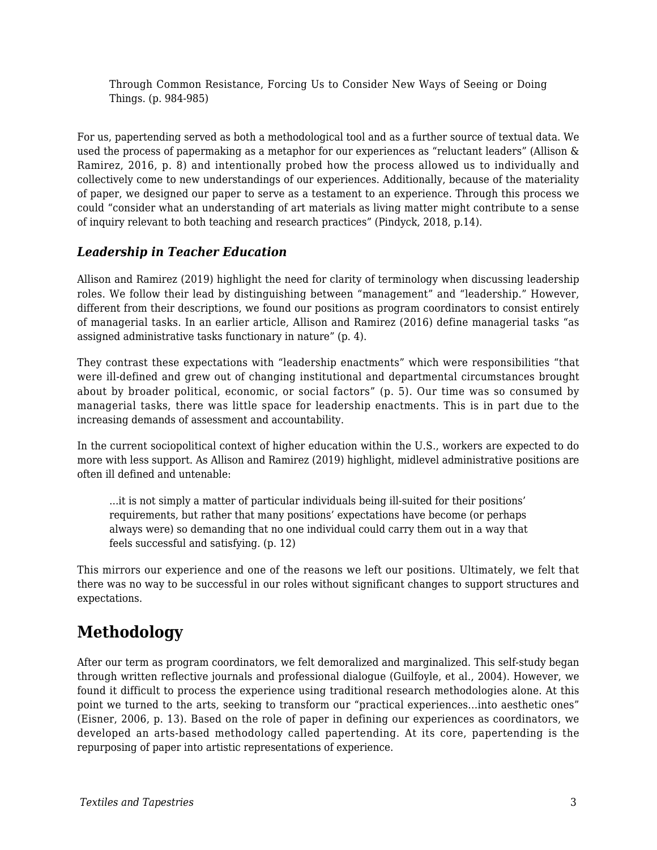Through Common Resistance, Forcing Us to Consider New Ways of Seeing or Doing Things. (p. 984-985)

For us, papertending served as both a methodological tool and as a further source of textual data. We used the process of papermaking as a metaphor for our experiences as "reluctant leaders" (Allison & Ramirez, 2016, p. 8) and intentionally probed how the process allowed us to individually and collectively come to new understandings of our experiences. Additionally, because of the materiality of paper, we designed our paper to serve as a testament to an experience. Through this process we could "consider what an understanding of art materials as living matter might contribute to a sense of inquiry relevant to both teaching and research practices" (Pindyck, 2018, p.14).

#### *Leadership in Teacher Education*

Allison and Ramirez (2019) highlight the need for clarity of terminology when discussing leadership roles. We follow their lead by distinguishing between "management" and "leadership." However, different from their descriptions, we found our positions as program coordinators to consist entirely of managerial tasks. In an earlier article, Allison and Ramirez (2016) define managerial tasks "as assigned administrative tasks functionary in nature" (p. 4).

They contrast these expectations with "leadership enactments" which were responsibilities "that were ill-defined and grew out of changing institutional and departmental circumstances brought about by broader political, economic, or social factors" (p. 5). Our time was so consumed by managerial tasks, there was little space for leadership enactments. This is in part due to the increasing demands of assessment and accountability.

In the current sociopolitical context of higher education within the U.S., workers are expected to do more with less support. As Allison and Ramirez (2019) highlight, midlevel administrative positions are often ill defined and untenable:

...it is not simply a matter of particular individuals being ill-suited for their positions' requirements, but rather that many positions' expectations have become (or perhaps always were) so demanding that no one individual could carry them out in a way that feels successful and satisfying. (p. 12)

This mirrors our experience and one of the reasons we left our positions. Ultimately, we felt that there was no way to be successful in our roles without significant changes to support structures and expectations.

## **Methodology**

After our term as program coordinators, we felt demoralized and marginalized. This self-study began through written reflective journals and professional dialogue (Guilfoyle, et al., 2004). However, we found it difficult to process the experience using traditional research methodologies alone. At this point we turned to the arts, seeking to transform our "practical experiences...into aesthetic ones" (Eisner, 2006, p. 13). Based on the role of paper in defining our experiences as coordinators, we developed an arts-based methodology called papertending. At its core, papertending is the repurposing of paper into artistic representations of experience.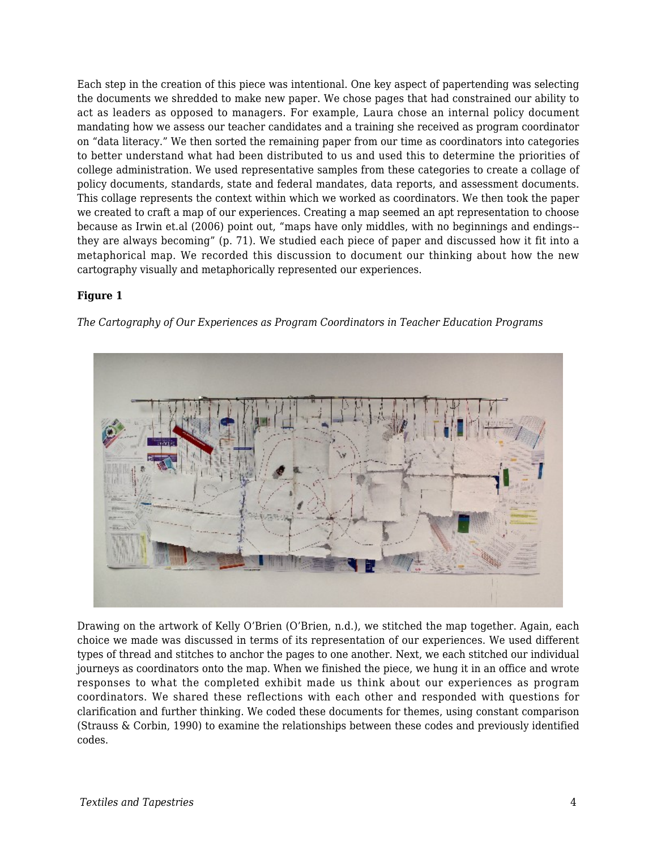Each step in the creation of this piece was intentional. One key aspect of papertending was selecting the documents we shredded to make new paper. We chose pages that had constrained our ability to act as leaders as opposed to managers. For example, Laura chose an internal policy document mandating how we assess our teacher candidates and a training she received as program coordinator on "data literacy." We then sorted the remaining paper from our time as coordinators into categories to better understand what had been distributed to us and used this to determine the priorities of college administration. We used representative samples from these categories to create a collage of policy documents, standards, state and federal mandates, data reports, and assessment documents. This collage represents the context within which we worked as coordinators. We then took the paper we created to craft a map of our experiences. Creating a map seemed an apt representation to choose because as Irwin et.al (2006) point out, "maps have only middles, with no beginnings and endings- they are always becoming" (p. 71). We studied each piece of paper and discussed how it fit into a metaphorical map. We recorded this discussion to document our thinking about how the new cartography visually and metaphorically represented our experiences.

#### **Figure 1**

*The Cartography of Our Experiences as Program Coordinators in Teacher Education Programs*



Drawing on the artwork of Kelly O'Brien (O'Brien, n.d.), we stitched the map together. Again, each choice we made was discussed in terms of its representation of our experiences. We used different types of thread and stitches to anchor the pages to one another. Next, we each stitched our individual journeys as coordinators onto the map. When we finished the piece, we hung it in an office and wrote responses to what the completed exhibit made us think about our experiences as program coordinators. We shared these reflections with each other and responded with questions for clarification and further thinking. We coded these documents for themes, using constant comparison (Strauss & Corbin, 1990) to examine the relationships between these codes and previously identified codes.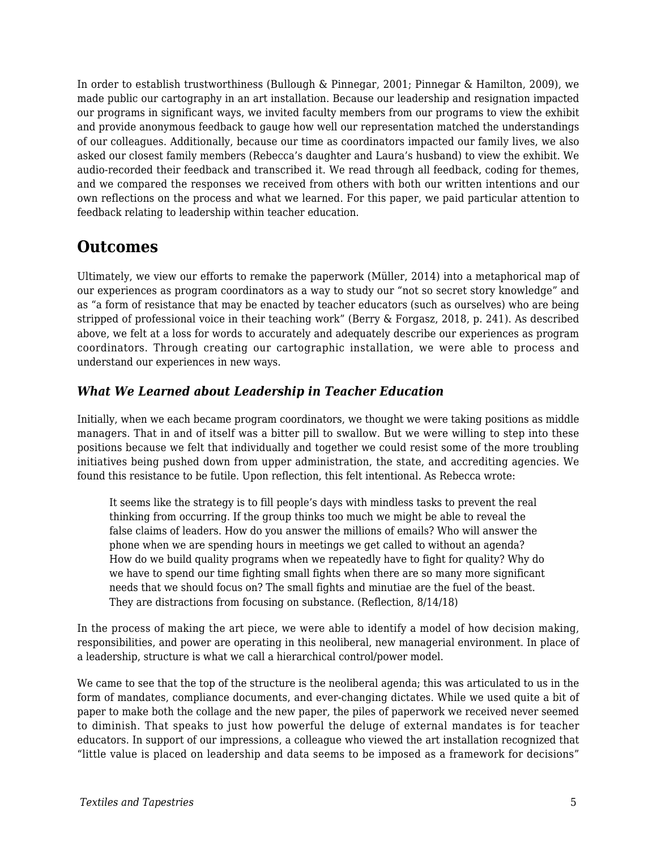In order to establish trustworthiness (Bullough & Pinnegar, 2001; Pinnegar & Hamilton, 2009), we made public our cartography in an art installation. Because our leadership and resignation impacted our programs in significant ways, we invited faculty members from our programs to view the exhibit and provide anonymous feedback to gauge how well our representation matched the understandings of our colleagues. Additionally, because our time as coordinators impacted our family lives, we also asked our closest family members (Rebecca's daughter and Laura's husband) to view the exhibit. We audio-recorded their feedback and transcribed it. We read through all feedback, coding for themes, and we compared the responses we received from others with both our written intentions and our own reflections on the process and what we learned. For this paper, we paid particular attention to feedback relating to leadership within teacher education.

### **Outcomes**

Ultimately, we view our efforts to remake the paperwork (Müller, 2014) into a metaphorical map of our experiences as program coordinators as a way to study our "not so secret story knowledge" and as "a form of resistance that may be enacted by teacher educators (such as ourselves) who are being stripped of professional voice in their teaching work" (Berry & Forgasz, 2018, p. 241). As described above, we felt at a loss for words to accurately and adequately describe our experiences as program coordinators. Through creating our cartographic installation, we were able to process and understand our experiences in new ways.

### *What We Learned about Leadership in Teacher Education*

Initially, when we each became program coordinators, we thought we were taking positions as middle managers. That in and of itself was a bitter pill to swallow. But we were willing to step into these positions because we felt that individually and together we could resist some of the more troubling initiatives being pushed down from upper administration, the state, and accrediting agencies. We found this resistance to be futile. Upon reflection, this felt intentional. As Rebecca wrote:

It seems like the strategy is to fill people's days with mindless tasks to prevent the real thinking from occurring. If the group thinks too much we might be able to reveal the false claims of leaders. How do you answer the millions of emails? Who will answer the phone when we are spending hours in meetings we get called to without an agenda? How do we build quality programs when we repeatedly have to fight for quality? Why do we have to spend our time fighting small fights when there are so many more significant needs that we should focus on? The small fights and minutiae are the fuel of the beast. They are distractions from focusing on substance. (Reflection, 8/14/18)

In the process of making the art piece, we were able to identify a model of how decision making, responsibilities, and power are operating in this neoliberal, new managerial environment. In place of a leadership, structure is what we call a hierarchical control/power model.

We came to see that the top of the structure is the neoliberal agenda; this was articulated to us in the form of mandates, compliance documents, and ever-changing dictates. While we used quite a bit of paper to make both the collage and the new paper, the piles of paperwork we received never seemed to diminish. That speaks to just how powerful the deluge of external mandates is for teacher educators. In support of our impressions, a colleague who viewed the art installation recognized that "little value is placed on leadership and data seems to be imposed as a framework for decisions"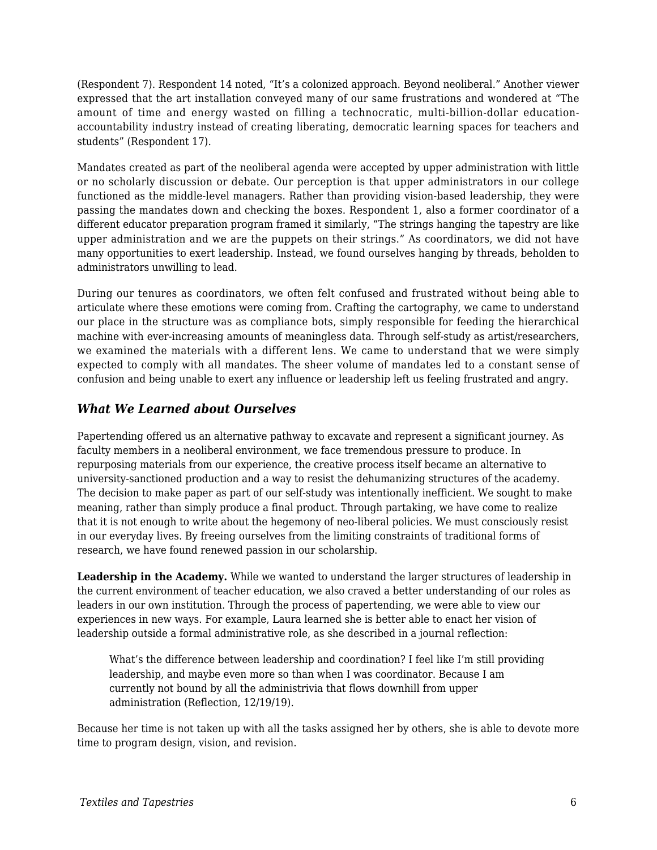(Respondent 7). Respondent 14 noted, "It's a colonized approach. Beyond neoliberal." Another viewer expressed that the art installation conveyed many of our same frustrations and wondered at "The amount of time and energy wasted on filling a technocratic, multi-billion-dollar educationaccountability industry instead of creating liberating, democratic learning spaces for teachers and students" (Respondent 17).

Mandates created as part of the neoliberal agenda were accepted by upper administration with little or no scholarly discussion or debate. Our perception is that upper administrators in our college functioned as the middle-level managers. Rather than providing vision-based leadership, they were passing the mandates down and checking the boxes. Respondent 1, also a former coordinator of a different educator preparation program framed it similarly, "The strings hanging the tapestry are like upper administration and we are the puppets on their strings." As coordinators, we did not have many opportunities to exert leadership. Instead, we found ourselves hanging by threads, beholden to administrators unwilling to lead.

During our tenures as coordinators, we often felt confused and frustrated without being able to articulate where these emotions were coming from. Crafting the cartography, we came to understand our place in the structure was as compliance bots, simply responsible for feeding the hierarchical machine with ever-increasing amounts of meaningless data. Through self-study as artist/researchers, we examined the materials with a different lens. We came to understand that we were simply expected to comply with all mandates. The sheer volume of mandates led to a constant sense of confusion and being unable to exert any influence or leadership left us feeling frustrated and angry.

#### *What We Learned about Ourselves*

Papertending offered us an alternative pathway to excavate and represent a significant journey. As faculty members in a neoliberal environment, we face tremendous pressure to produce. In repurposing materials from our experience, the creative process itself became an alternative to university-sanctioned production and a way to resist the dehumanizing structures of the academy. The decision to make paper as part of our self-study was intentionally inefficient. We sought to make meaning, rather than simply produce a final product. Through partaking, we have come to realize that it is not enough to write about the hegemony of neo-liberal policies. We must consciously resist in our everyday lives. By freeing ourselves from the limiting constraints of traditional forms of research, we have found renewed passion in our scholarship.

**Leadership in the Academy.** While we wanted to understand the larger structures of leadership in the current environment of teacher education, we also craved a better understanding of our roles as leaders in our own institution. Through the process of papertending, we were able to view our experiences in new ways. For example, Laura learned she is better able to enact her vision of leadership outside a formal administrative role, as she described in a journal reflection:

What's the difference between leadership and coordination? I feel like I'm still providing leadership, and maybe even more so than when I was coordinator. Because I am currently not bound by all the administrivia that flows downhill from upper administration (Reflection, 12/19/19).

Because her time is not taken up with all the tasks assigned her by others, she is able to devote more time to program design, vision, and revision.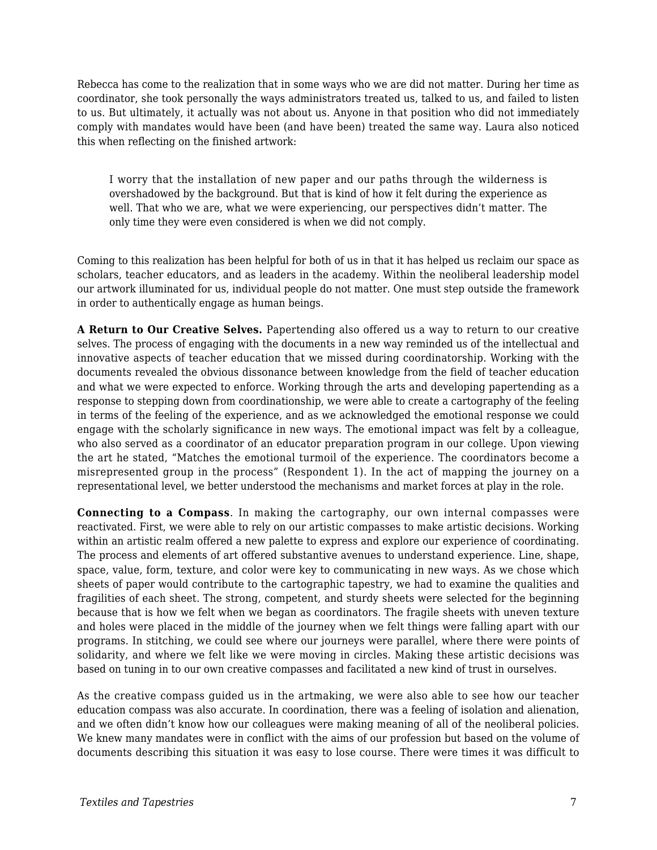Rebecca has come to the realization that in some ways who we are did not matter. During her time as coordinator, she took personally the ways administrators treated us, talked to us, and failed to listen to us. But ultimately, it actually was not about us. Anyone in that position who did not immediately comply with mandates would have been (and have been) treated the same way. Laura also noticed this when reflecting on the finished artwork:

I worry that the installation of new paper and our paths through the wilderness is overshadowed by the background. But that is kind of how it felt during the experience as well. That who we are, what we were experiencing, our perspectives didn't matter. The only time they were even considered is when we did not comply.

Coming to this realization has been helpful for both of us in that it has helped us reclaim our space as scholars, teacher educators, and as leaders in the academy. Within the neoliberal leadership model our artwork illuminated for us, individual people do not matter. One must step outside the framework in order to authentically engage as human beings.

**A Return to Our Creative Selves.** Papertending also offered us a way to return to our creative selves. The process of engaging with the documents in a new way reminded us of the intellectual and innovative aspects of teacher education that we missed during coordinatorship. Working with the documents revealed the obvious dissonance between knowledge from the field of teacher education and what we were expected to enforce. Working through the arts and developing papertending as a response to stepping down from coordinationship, we were able to create a cartography of the feeling in terms of the feeling of the experience, and as we acknowledged the emotional response we could engage with the scholarly significance in new ways. The emotional impact was felt by a colleague, who also served as a coordinator of an educator preparation program in our college. Upon viewing the art he stated, "Matches the emotional turmoil of the experience. The coordinators become a misrepresented group in the process" (Respondent 1). In the act of mapping the journey on a representational level, we better understood the mechanisms and market forces at play in the role.

**Connecting to a Compass**. In making the cartography, our own internal compasses were reactivated. First, we were able to rely on our artistic compasses to make artistic decisions. Working within an artistic realm offered a new palette to express and explore our experience of coordinating. The process and elements of art offered substantive avenues to understand experience. Line, shape, space, value, form, texture, and color were key to communicating in new ways. As we chose which sheets of paper would contribute to the cartographic tapestry, we had to examine the qualities and fragilities of each sheet. The strong, competent, and sturdy sheets were selected for the beginning because that is how we felt when we began as coordinators. The fragile sheets with uneven texture and holes were placed in the middle of the journey when we felt things were falling apart with our programs. In stitching, we could see where our journeys were parallel, where there were points of solidarity, and where we felt like we were moving in circles. Making these artistic decisions was based on tuning in to our own creative compasses and facilitated a new kind of trust in ourselves.

As the creative compass guided us in the artmaking, we were also able to see how our teacher education compass was also accurate. In coordination, there was a feeling of isolation and alienation, and we often didn't know how our colleagues were making meaning of all of the neoliberal policies. We knew many mandates were in conflict with the aims of our profession but based on the volume of documents describing this situation it was easy to lose course. There were times it was difficult to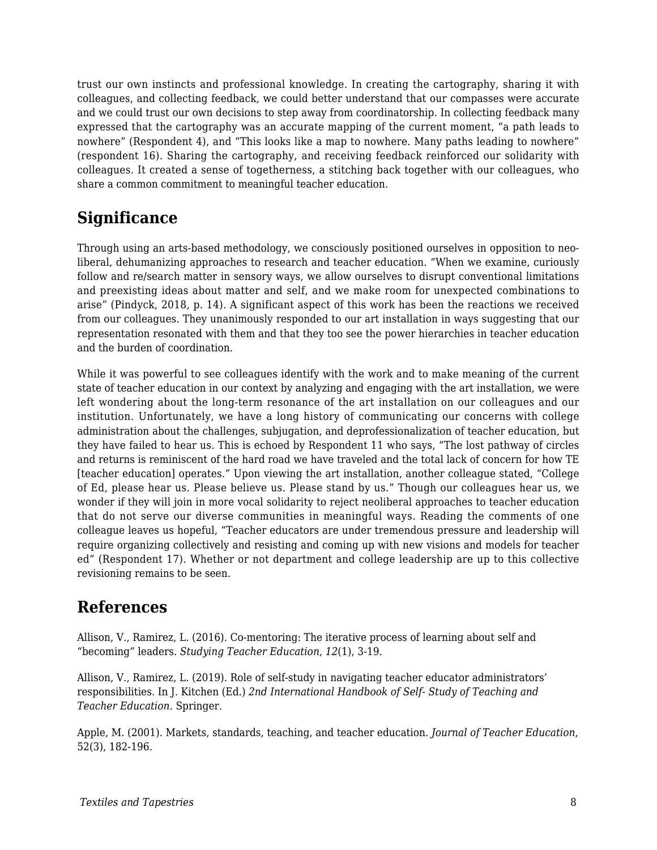trust our own instincts and professional knowledge. In creating the cartography, sharing it with colleagues, and collecting feedback, we could better understand that our compasses were accurate and we could trust our own decisions to step away from coordinatorship. In collecting feedback many expressed that the cartography was an accurate mapping of the current moment, "a path leads to nowhere" (Respondent 4), and "This looks like a map to nowhere. Many paths leading to nowhere" (respondent 16). Sharing the cartography, and receiving feedback reinforced our solidarity with colleagues. It created a sense of togetherness, a stitching back together with our colleagues, who share a common commitment to meaningful teacher education.

### **Significance**

Through using an arts-based methodology, we consciously positioned ourselves in opposition to neoliberal, dehumanizing approaches to research and teacher education. "When we examine, curiously follow and re/search matter in sensory ways, we allow ourselves to disrupt conventional limitations and preexisting ideas about matter and self, and we make room for unexpected combinations to arise" (Pindyck, 2018, p. 14). A significant aspect of this work has been the reactions we received from our colleagues. They unanimously responded to our art installation in ways suggesting that our representation resonated with them and that they too see the power hierarchies in teacher education and the burden of coordination.

While it was powerful to see colleagues identify with the work and to make meaning of the current state of teacher education in our context by analyzing and engaging with the art installation, we were left wondering about the long-term resonance of the art installation on our colleagues and our institution. Unfortunately, we have a long history of communicating our concerns with college administration about the challenges, subjugation, and deprofessionalization of teacher education, but they have failed to hear us. This is echoed by Respondent 11 who says, "The lost pathway of circles and returns is reminiscent of the hard road we have traveled and the total lack of concern for how TE [teacher education] operates." Upon viewing the art installation, another colleague stated, "College of Ed, please hear us. Please believe us. Please stand by us." Though our colleagues hear us, we wonder if they will join in more vocal solidarity to reject neoliberal approaches to teacher education that do not serve our diverse communities in meaningful ways. Reading the comments of one colleague leaves us hopeful, "Teacher educators are under tremendous pressure and leadership will require organizing collectively and resisting and coming up with new visions and models for teacher ed" (Respondent 17). Whether or not department and college leadership are up to this collective revisioning remains to be seen.

### **References**

Allison, V., Ramirez, L. (2016). Co-mentoring: The iterative process of learning about self and "becoming" leaders. *Studying Teacher Education*, *12*(1), 3-19.

Allison, V., Ramirez, L. (2019). Role of self-study in navigating teacher educator administrators' responsibilities. In J. Kitchen (Ed.) *2nd International Handbook of Self- Study of Teaching and Teacher Education.* Springer.

Apple, M. (2001). Markets, standards, teaching, and teacher education. *Journal of Teacher Education*, 52(3), 182-196.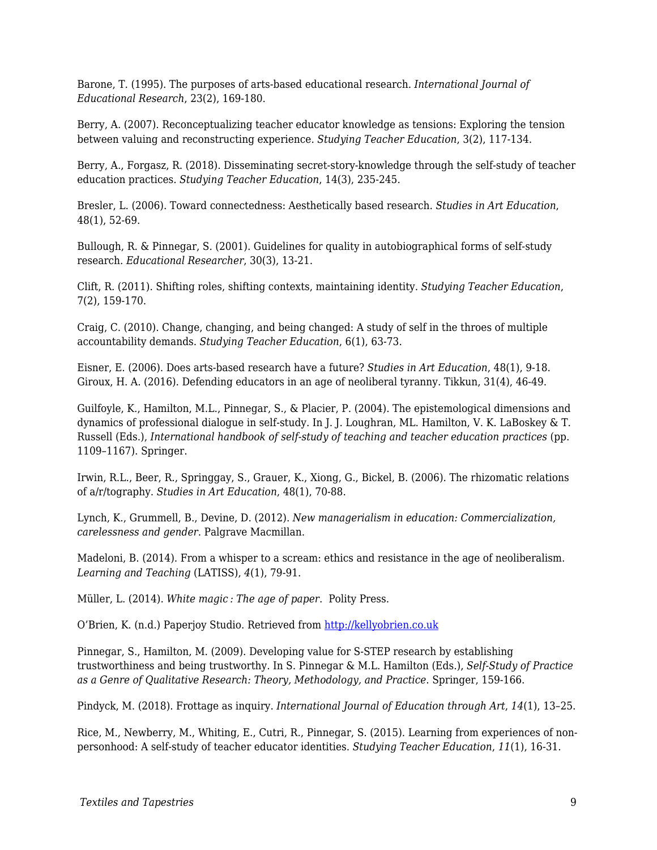Barone, T. (1995). The purposes of arts-based educational research. *International Journal of Educational Research*, 23(2), 169-180.

Berry, A. (2007). Reconceptualizing teacher educator knowledge as tensions: Exploring the tension between valuing and reconstructing experience. *Studying Teacher Education*, 3(2), 117-134.

Berry, A., Forgasz, R. (2018). Disseminating secret-story-knowledge through the self-study of teacher education practices. *Studying Teacher Education*, 14(3), 235-245.

Bresler, L. (2006). Toward connectedness: Aesthetically based research. *Studies in Art Education*, 48(1), 52-69.

Bullough, R. & Pinnegar, S. (2001). Guidelines for quality in autobiographical forms of self-study research. *Educational Researcher*, 30(3), 13-21.

Clift, R. (2011). Shifting roles, shifting contexts, maintaining identity. *Studying Teacher Education*, 7(2), 159-170.

Craig, C. (2010). Change, changing, and being changed: A study of self in the throes of multiple accountability demands. *Studying Teacher Education*, 6(1), 63-73.

Eisner, E. (2006). Does arts-based research have a future? *Studies in Art Education*, 48(1), 9-18. Giroux, H. A. (2016). Defending educators in an age of neoliberal tyranny. Tikkun, 31(4), 46-49.

Guilfoyle, K., Hamilton, M.L., Pinnegar, S., & Placier, P. (2004). The epistemological dimensions and dynamics of professional dialogue in self-study. In J. J. Loughran, ML. Hamilton, V. K. LaBoskey & T. Russell (Eds.), *International handbook of self-study of teaching and teacher education practices* (pp. 1109–1167). Springer.

Irwin, R.L., Beer, R., Springgay, S., Grauer, K., Xiong, G., Bickel, B. (2006). The rhizomatic relations of a/r/tography. *Studies in Art Education*, 48(1), 70-88.

Lynch, K., Grummell, B., Devine, D. (2012). *New managerialism in education: Commercialization, carelessness and gender*. Palgrave Macmillan.

Madeloni, B. (2014). From a whisper to a scream: ethics and resistance in the age of neoliberalism. *Learning and Teaching* (LATISS), *4*(1), 79-91.

Müller, L. (2014). *White magic : The age of paper*. Polity Press.

O'Brien, K. (n.d.) Paperjoy Studio. Retrieved from [http://kellyobrien.co.uk](https://kellyobrien.co.uk/)

Pinnegar, S., Hamilton, M. (2009). Developing value for S-STEP research by establishing trustworthiness and being trustworthy. In S. Pinnegar & M.L. Hamilton (Eds.), *Self-Study of Practice as a Genre of Qualitative Research: Theory, Methodology, and Practice*. Springer, 159-166.

Pindyck, M. (2018). Frottage as inquiry. *International Journal of Education through Art*, *14*(1), 13–25.

Rice, M., Newberry, M., Whiting, E., Cutri, R., Pinnegar, S. (2015). Learning from experiences of nonpersonhood: A self-study of teacher educator identities. *Studying Teacher Education*, *11*(1), 16-31.